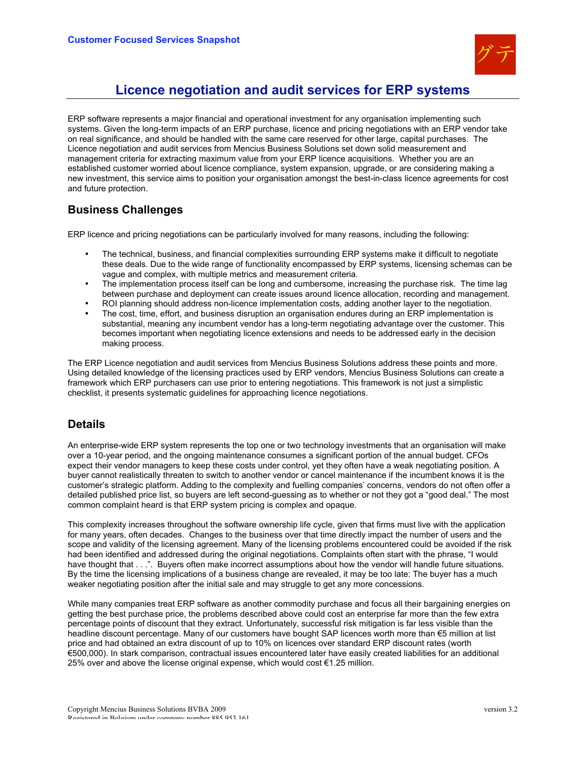

# **Licence negotiation and audit services for ERP systems**

ERP software represents a major financial and operational investment for any organisation implementing such systems. Given the long-term impacts of an ERP purchase, licence and pricing negotiations with an ERP vendor take on real significance, and should be handled with the same care reserved for other large, capital purchases. The Licence negotiation and audit services from Mencius Business Solutions set down solid measurement and management criteria for extracting maximum value from your ERP licence acquisitions. Whether you are an established customer worried about licence compliance, system expansion, upgrade, or are considering making a new investment, this service aims to position your organisation amongst the best-in-class licence agreements for cost and future protection.

## **Business Challenges**

ERP licence and pricing negotiations can be particularly involved for many reasons, including the following:

- The technical, business, and financial complexities surrounding ERP systems make it difficult to negotiate these deals. Due to the wide range of functionality encompassed by ERP systems, licensing schemas can be vague and complex, with multiple metrics and measurement criteria.
- The implementation process itself can be long and cumbersome, increasing the purchase risk. The time lag between purchase and deployment can create issues around licence allocation, recording and management.
- ROI planning should address non-licence implementation costs, adding another layer to the negotiation.
- The cost, time, effort, and business disruption an organisation endures during an ERP implementation is substantial, meaning any incumbent vendor has a long-term negotiating advantage over the customer. This becomes important when negotiating licence extensions and needs to be addressed early in the decision making process.

The ERP Licence negotiation and audit services from Mencius Business Solutions address these points and more. Using detailed knowledge of the licensing practices used by ERP vendors, Mencius Business Solutions can create a framework which ERP purchasers can use prior to entering negotiations. This framework is not just a simplistic checklist, it presents systematic guidelines for approaching licence negotiations.

## **Details**

An enterprise-wide ERP system represents the top one or two technology investments that an organisation will make over a 10-year period, and the ongoing maintenance consumes a significant portion of the annual budget. CFOs expect their vendor managers to keep these costs under control, yet they often have a weak negotiating position. A buyer cannot realistically threaten to switch to another vendor or cancel maintenance if the incumbent knows it is the customer's strategic platform. Adding to the complexity and fuelling companies' concerns, vendors do not often offer a detailed published price list, so buyers are left second-guessing as to whether or not they got a "good deal." The most common complaint heard is that ERP system pricing is complex and opaque.

This complexity increases throughout the software ownership life cycle, given that firms must live with the application for many years, often decades. Changes to the business over that time directly impact the number of users and the scope and validity of the licensing agreement. Many of the licensing problems encountered could be avoided if the risk had been identified and addressed during the original negotiations. Complaints often start with the phrase, "I would have thought that  $\dots$ ". Buyers often make incorrect assumptions about how the vendor will handle future situations. By the time the licensing implications of a business change are revealed, it may be too late: The buyer has a much weaker negotiating position after the initial sale and may struggle to get any more concessions.

While many companies treat ERP software as another commodity purchase and focus all their bargaining energies on getting the best purchase price, the problems described above could cost an enterprise far more than the few extra percentage points of discount that they extract. Unfortunately, successful risk mitigation is far less visible than the headline discount percentage. Many of our customers have bought SAP licences worth more than €5 million at list price and had obtained an extra discount of up to 10% on licences over standard ERP discount rates (worth €500,000). In stark comparison, contractual issues encountered later have easily created liabilities for an additional 25% over and above the license original expense, which would cost €1.25 million.